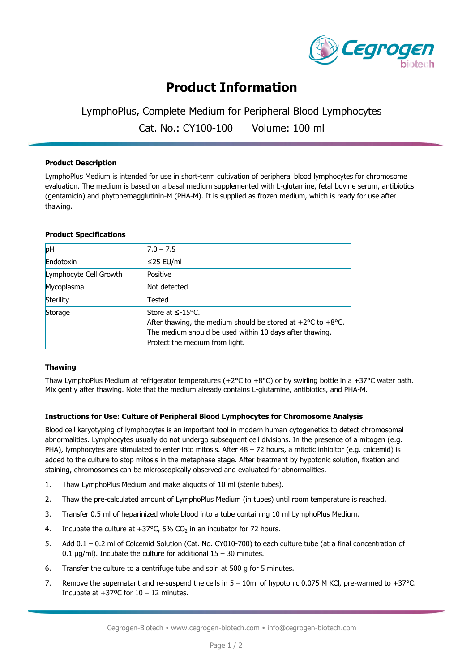

# **Product Information**

# LymphoPlus, Complete Medium for Peripheral Blood Lymphocytes

Cat. No.: CY100-100 Volume: 100 ml

### **Product Description**

LymphoPlus Medium is intended for use in short-term cultivation of peripheral blood lymphocytes for chromosome evaluation. The medium is based on a basal medium supplemented with L-glutamine, fetal bovine serum, antibiotics (gentamicin) and phytohemagglutinin-M (PHA-M). It is supplied as frozen medium, which is ready for use after thawing.

#### **Product Specifications**

| pH                     | $7.0 - 7.5$                                                                                                                                                                                         |
|------------------------|-----------------------------------------------------------------------------------------------------------------------------------------------------------------------------------------------------|
| Endotoxin              | $≤25$ EU/ml                                                                                                                                                                                         |
| Lymphocyte Cell Growth | Positive                                                                                                                                                                                            |
| Mycoplasma             | Not detected                                                                                                                                                                                        |
| Sterility              | Tested                                                                                                                                                                                              |
| Storage                | Store at $≤-15$ °C.<br>After thawing, the medium should be stored at $+2^{\circ}$ C to $+8^{\circ}$ C.<br>The medium should be used within 10 days after thawing.<br>Protect the medium from light. |

## **Thawing**

Thaw LymphoPlus Medium at refrigerator temperatures (+2 $^{\circ}$ C to +8 $^{\circ}$ C) or by swirling bottle in a +37 $^{\circ}$ C water bath. Mix gently after thawing. Note that the medium already contains L-glutamine, antibiotics, and PHA-M.

## **Instructions for Use: Culture of Peripheral Blood Lymphocytes for Chromosome Analysis**

Blood cell karyotyping of lymphocytes is an important tool in modern human cytogenetics to detect chromosomal abnormalities. Lymphocytes usually do not undergo subsequent cell divisions. In the presence of a mitogen (e.g. PHA), lymphocytes are stimulated to enter into mitosis. After 48 – 72 hours, a mitotic inhibitor (e.g. colcemid) is added to the culture to stop mitosis in the metaphase stage. After treatment by hypotonic solution, fixation and staining, chromosomes can be microscopically observed and evaluated for abnormalities.

- 1. Thaw LymphoPlus Medium and make aliquots of 10 ml (sterile tubes).
- 2. Thaw the pre-calculated amount of LymphoPlus Medium (in tubes) until room temperature is reached.
- 3. Transfer 0.5 ml of heparinized whole blood into a tube containing 10 ml LymphoPlus Medium.
- 4. Incubate the culture at  $+37^{\circ}$ C, 5% CO<sub>2</sub> in an incubator for 72 hours.
- 5. Add 0.1 0.2 ml of Colcemid Solution (Cat. No. CY010-700) to each culture tube (at a final concentration of 0.1  $\mu$ g/ml). Incubate the culture for additional 15 - 30 minutes.
- 6. Transfer the culture to a centrifuge tube and spin at 500 g for 5 minutes.
- 7. Remove the supernatant and re-suspend the cells in 5 10ml of hypotonic 0.075 M KCl, pre-warmed to +37°C. Incubate at  $+37$ <sup>o</sup>C for  $10 - 12$  minutes.